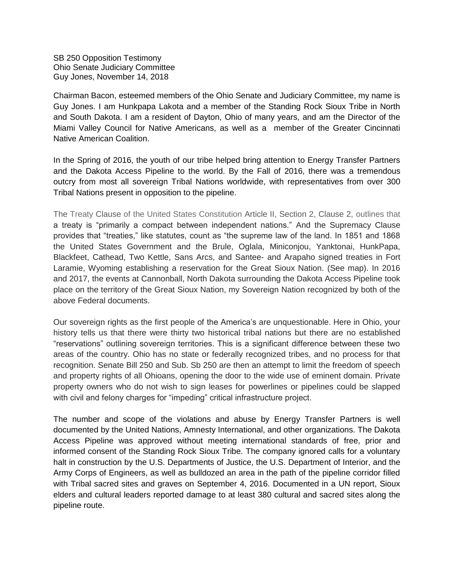SB 250 Opposition Testimony Ohio Senate Judiciary Committee Guy Jones, November 14, 2018

Chairman Bacon, esteemed members of the Ohio Senate and Judiciary Committee, my name is Guy Jones. I am Hunkpapa Lakota and a member of the Standing Rock Sioux Tribe in North and South Dakota. I am a resident of Dayton, Ohio of many years, and am the Director of the Miami Valley Council for Native Americans, as well as a member of the Greater Cincinnati Native American Coalition.

In the Spring of 2016, the youth of our tribe helped bring attention to Energy Transfer Partners and the Dakota Access Pipeline to the world. By the Fall of 2016, there was a tremendous outcry from most all sovereign Tribal Nations worldwide, with representatives from over 300 Tribal Nations present in opposition to the pipeline.

The Treaty Clause of the United States Constitution Article II, Section 2, Clause 2, outlines that a treaty is "primarily a compact between independent nations." And the Supremacy Clause provides that "treaties," like statutes, count as "the supreme law of the land. In 1851 and 1868 the United States Government and the Brule, Oglala, Miniconjou, Yanktonai, HunkPapa, Blackfeet, Cathead, Two Kettle, Sans Arcs, and Santee- and Arapaho signed treaties in Fort Laramie, Wyoming establishing a reservation for the Great Sioux Nation. (See map). In 2016 and 2017, the events at Cannonball, North Dakota surrounding the Dakota Access Pipeline took place on the territory of the Great Sioux Nation, my Sovereign Nation recognized by both of the above Federal documents.

Our sovereign rights as the first people of the America's are unquestionable. Here in Ohio, your history tells us that there were thirty two historical tribal nations but there are no established "reservations" outlining sovereign territories. This is a significant difference between these two areas of the country. Ohio has no state or federally recognized tribes, and no process for that recognition. Senate Bill 250 and Sub. Sb 250 are then an attempt to limit the freedom of speech and property rights of all Ohioans, opening the door to the wide use of eminent domain. Private property owners who do not wish to sign leases for powerlines or pipelines could be slapped with civil and felony charges for "impeding" critical infrastructure project.

The number and scope of the violations and abuse by Energy Transfer Partners is well documented by the United Nations, Amnesty International, and other organizations. The Dakota Access Pipeline was approved without meeting international standards of free, prior and informed consent of the Standing Rock Sioux Tribe. The company ignored calls for a voluntary halt in construction by the U.S. Departments of Justice, the U.S. Department of Interior, and the Army Corps of Engineers, as well as bulldozed an area in the path of the pipeline corridor filled with Tribal sacred sites and graves on September 4, 2016. Documented in a UN report, Sioux elders and cultural leaders reported damage to at least 380 cultural and sacred sites along the pipeline route.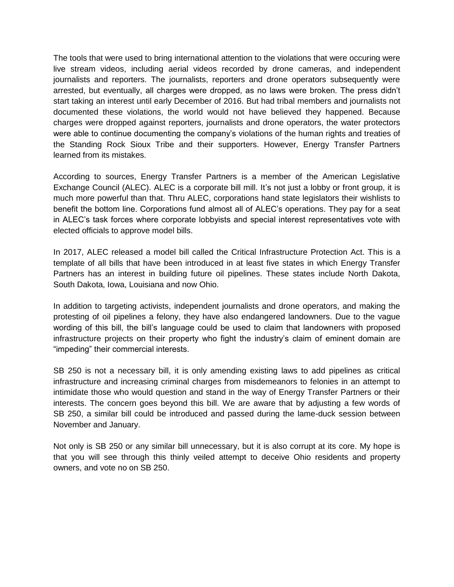The tools that were used to bring international attention to the violations that were occuring were live stream videos, including aerial videos recorded by drone cameras, and independent journalists and reporters. The journalists, reporters and drone operators subsequently were arrested, but eventually, all charges were dropped, as no laws were broken. The press didn't start taking an interest until early December of 2016. But had tribal members and journalists not documented these violations, the world would not have believed they happened. Because charges were dropped against reporters, journalists and drone operators, the water protectors were able to continue documenting the company's violations of the human rights and treaties of the Standing Rock Sioux Tribe and their supporters. However, Energy Transfer Partners learned from its mistakes.

According to sources, Energy Transfer Partners is a member of the American Legislative Exchange Council (ALEC). ALEC is a corporate bill mill. It's not just a lobby or front group, it is much more powerful than that. Thru ALEC, corporations hand state legislators their wishlists to benefit the bottom line. Corporations fund almost all of ALEC's operations. They pay for a seat in ALEC's task forces where corporate lobbyists and special interest representatives vote with elected officials to approve model bills.

In 2017, ALEC released a model bill called the Critical Infrastructure Protection Act. This is a template of all bills that have been introduced in at least five states in which Energy Transfer Partners has an interest in building future oil pipelines. These states include North Dakota, South Dakota, Iowa, Louisiana and now Ohio.

In addition to targeting activists, independent journalists and drone operators, and making the protesting of oil pipelines a felony, they have also endangered landowners. Due to the vague wording of this bill, the bill's language could be used to claim that landowners with proposed infrastructure projects on their property who fight the industry's claim of eminent domain are "impeding" their commercial interests.

SB 250 is not a necessary bill, it is only amending existing laws to add pipelines as critical infrastructure and increasing criminal charges from misdemeanors to felonies in an attempt to intimidate those who would question and stand in the way of Energy Transfer Partners or their interests. The concern goes beyond this bill. We are aware that by adjusting a few words of SB 250, a similar bill could be introduced and passed during the lame-duck session between November and January.

Not only is SB 250 or any similar bill unnecessary, but it is also corrupt at its core. My hope is that you will see through this thinly veiled attempt to deceive Ohio residents and property owners, and vote no on SB 250.